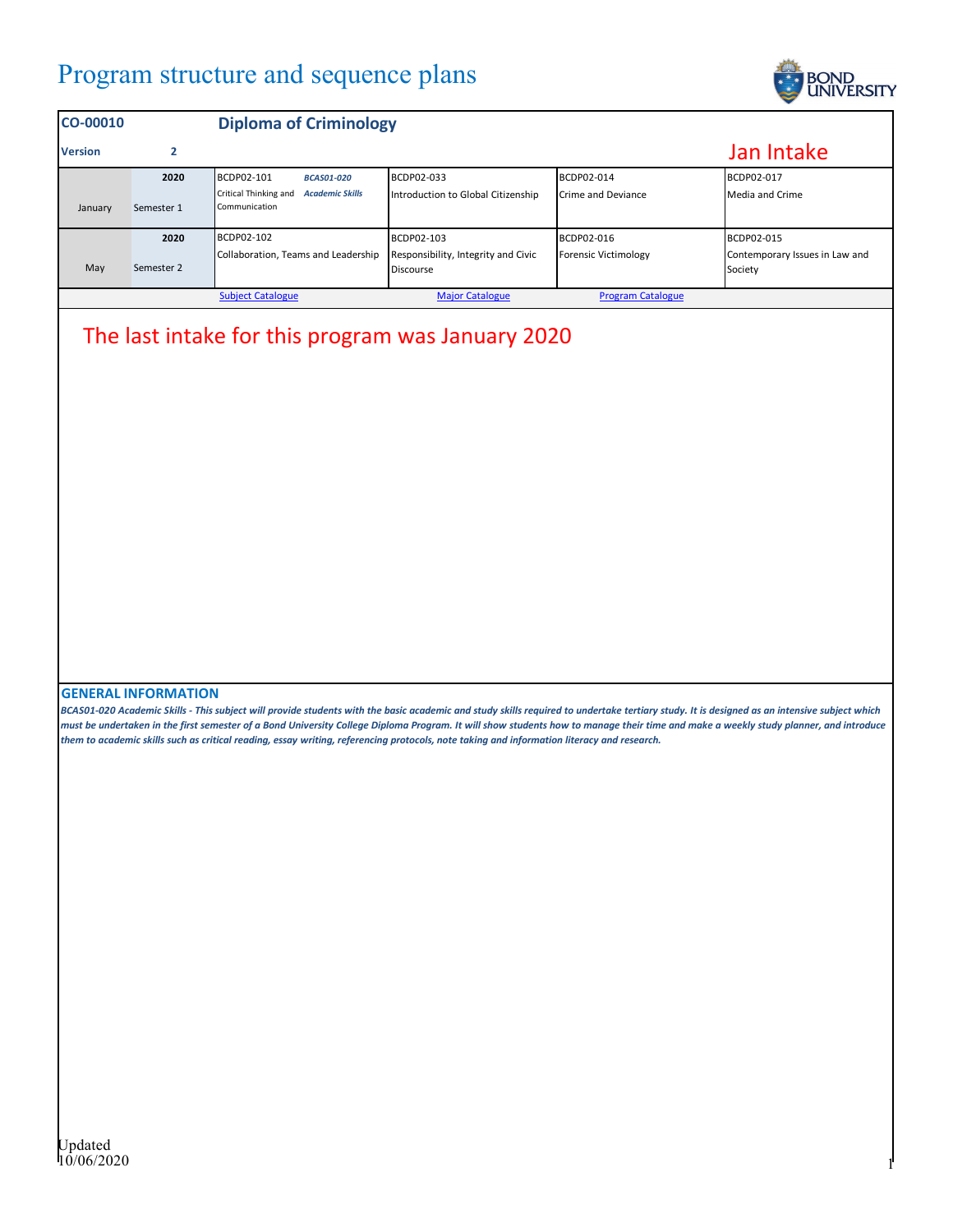## Program structure and sequence plans



| <b>CO-00010</b>                                                                |            | <b>Diploma of Criminology</b>                                    |                                                         |                             |                                           |
|--------------------------------------------------------------------------------|------------|------------------------------------------------------------------|---------------------------------------------------------|-----------------------------|-------------------------------------------|
| <b>Version</b>                                                                 |            |                                                                  |                                                         |                             | Jan Intake                                |
|                                                                                | 2020       | <b>BCDP02-101</b><br><b>BCAS01-020</b>                           | BCDP02-033                                              | BCDP02-014                  | BCDP02-017                                |
| January                                                                        | Semester 1 | Critical Thinking and<br><b>Academic Skills</b><br>Communication | Introduction to Global Citizenship                      | Crime and Deviance          | Media and Crime                           |
|                                                                                | 2020       | <b>BCDP02-102</b>                                                | BCDP02-103                                              | BCDP02-016                  | BCDP02-015                                |
| May                                                                            | Semester 2 | Collaboration, Teams and Leadership                              | Responsibility, Integrity and Civic<br><b>Discourse</b> | <b>Forensic Victimology</b> | Contemporary Issues in Law and<br>Society |
| <b>Subject Catalogue</b><br><b>Major Catalogue</b><br><b>Program Catalogue</b> |            |                                                                  |                                                         |                             |                                           |

## The last intake for this program was January 2020

## **GENERAL INFORMATION**

*BCAS01-020 Academic Skills - This subject will provide students with the basic academic and study skills required to undertake tertiary study. It is designed as an intensive subject which must be undertaken in the first semester of a Bond University College Diploma Program. It will show students how to manage their time and make a weekly study planner, and introduce them to academic skills such as critical reading, essay writing, referencing protocols, note taking and information literacy and research.*